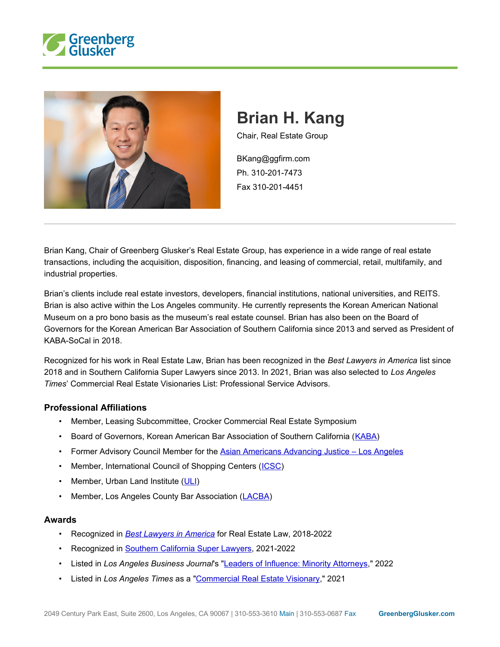



# **Brian H. Kang**

Chair, Real Estate Group

BKang@ggfirm.com Ph. 310-201-7473 Fax 310-201-4451

Brian Kang, Chair of Greenberg Glusker's Real Estate Group, has experience in a wide range of real estate transactions, including the acquisition, disposition, financing, and leasing of commercial, retail, multifamily, and industrial properties.

Brian's clients include real estate investors, developers, financial institutions, national universities, and REITS. Brian is also active within the Los Angeles community. He currently represents the Korean American National Museum on a pro bono basis as the museum's real estate counsel. Brian has also been on the Board of Governors for the Korean American Bar Association of Southern California since 2013 and served as President of KABA-SoCal in 2018.

Recognized for his work in Real Estate Law, Brian has been recognized in the *Best Lawyers in America* list since 2018 and in Southern California Super Lawyers since 2013. In 2021, Brian was also selected to *Los Angeles Times*' Commercial Real Estate Visionaries List: Professional Service Advisors.

#### **Professional Affiliations**

- Member, Leasing Subcommittee, Crocker Commercial Real Estate Symposium
- Board of Governors, Korean American Bar Association of Southern California (KABA)
- Former Advisory Council Member for the Asian Americans Advancing Justice Los Angeles
- Member, International Council of Shopping Centers (ICSC)
- Member, Urban Land Institute (ULI)
- Member, Los Angeles County Bar Association (LACBA)

#### **Awards**

- Recognized in *Best Lawyers in America* for Real Estate Law, 2018-2022
- Recognized in Southern California Super Lawyers, 2021-2022
- Listed in *Los Angeles Business Journal*'s "Leaders of Influence: Minority Attorneys," 2022
- Listed in *Los Angeles Times* as a "Commercial Real Estate Visionary," 2021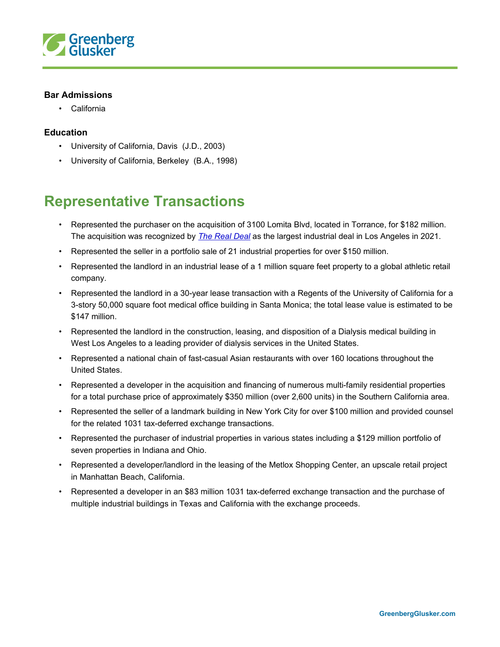

#### **Bar Admissions**

• California

#### **Education**

- University of California, Davis (J.D., 2003)
- University of California, Berkeley (B.A., 1998)

### **Representative Transactions**

- Represented the purchaser on the acquisition of 3100 Lomita Blvd, located in Torrance, for \$182 million. The acquisition was recognized by *The Real Deal* as the largest industrial deal in Los Angeles in 2021.
- Represented the seller in a portfolio sale of 21 industrial properties for over \$150 million.
- Represented the landlord in an industrial lease of a 1 million square feet property to a global athletic retail company.
- Represented the landlord in a 30-year lease transaction with a Regents of the University of California for a 3-story 50,000 square foot medical office building in Santa Monica; the total lease value is estimated to be \$147 million.
- Represented the landlord in the construction, leasing, and disposition of a Dialysis medical building in West Los Angeles to a leading provider of dialysis services in the United States.
- Represented a national chain of fast-casual Asian restaurants with over 160 locations throughout the United States.
- Represented a developer in the acquisition and financing of numerous multi-family residential properties for a total purchase price of approximately \$350 million (over 2,600 units) in the Southern California area.
- Represented the seller of a landmark building in New York City for over \$100 million and provided counsel for the related 1031 tax-deferred exchange transactions.
- Represented the purchaser of industrial properties in various states including a \$129 million portfolio of seven properties in Indiana and Ohio.
- Represented a developer/landlord in the leasing of the Metlox Shopping Center, an upscale retail project in Manhattan Beach, California.
- Represented a developer in an \$83 million 1031 tax-deferred exchange transaction and the purchase of multiple industrial buildings in Texas and California with the exchange proceeds.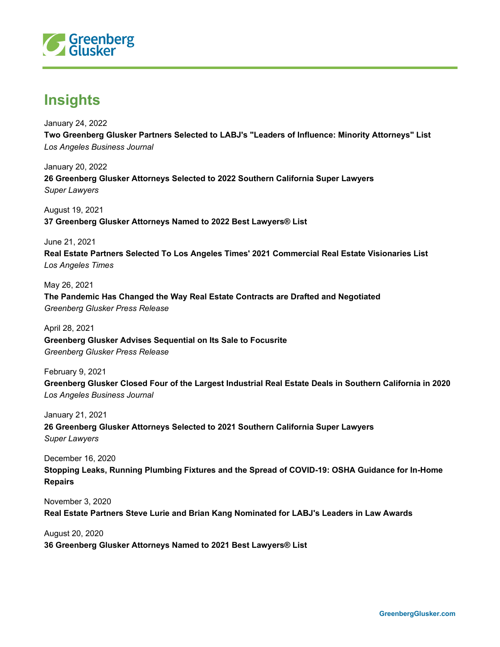

## **Insights**

January 24, 2022 **Two Greenberg Glusker Partners Selected to LABJ's "Leaders of Influence: Minority Attorneys" List** *Los Angeles Business Journal*

January 20, 2022 **26 Greenberg Glusker Attorneys Selected to 2022 Southern California Super Lawyers** *Super Lawyers*

August 19, 2021 **37 Greenberg Glusker Attorneys Named to 2022 Best Lawyers® List**

June 21, 2021 **Real Estate Partners Selected To Los Angeles Times' 2021 Commercial Real Estate Visionaries List** *Los Angeles Times*

May 26, 2021 **The Pandemic Has Changed the Way Real Estate Contracts are Drafted and Negotiated** *Greenberg Glusker Press Release*

April 28, 2021 **Greenberg Glusker Advises Sequential on Its Sale to Focusrite** *Greenberg Glusker Press Release*

February 9, 2021 **Greenberg Glusker Closed Four of the Largest Industrial Real Estate Deals in Southern California in 2020** *Los Angeles Business Journal*

January 21, 2021 **26 Greenberg Glusker Attorneys Selected to 2021 Southern California Super Lawyers** *Super Lawyers*

December 16, 2020

**Stopping Leaks, Running Plumbing Fixtures and the Spread of COVID-19: OSHA Guidance for In-Home Repairs**

November 3, 2020 **Real Estate Partners Steve Lurie and Brian Kang Nominated for LABJ's Leaders in Law Awards**

August 20, 2020 **36 Greenberg Glusker Attorneys Named to 2021 Best Lawyers® List**